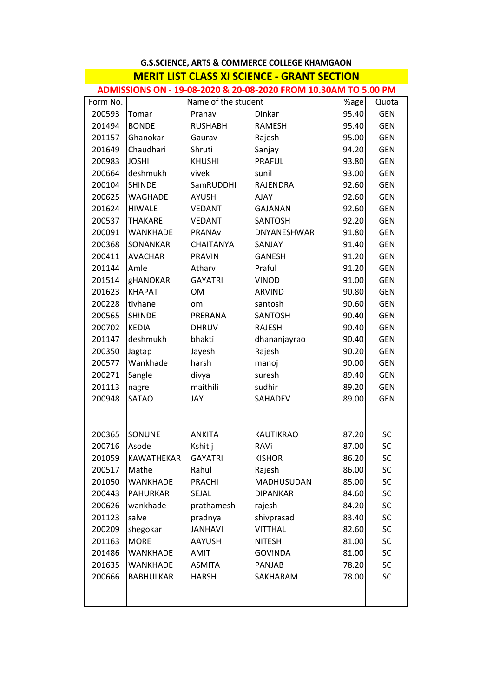## **G.S.SCIENCE, ARTS & COMMERCE COLLEGE KHAMGAON MERIT LIST CLASS XI SCIENCE ‐ GRANT SECTION MERIT LIST CLASS XI SCIENCE GRANT**

| Form No. | Name of the student |                  |                  | %age  | Quota      |
|----------|---------------------|------------------|------------------|-------|------------|
| 200593   | Tomar               | Pranav           | Dinkar           | 95.40 | <b>GEN</b> |
| 201494   | <b>BONDE</b>        | <b>RUSHABH</b>   | <b>RAMESH</b>    | 95.40 | <b>GEN</b> |
| 201157   | Ghanokar            | Gaurav           | Rajesh           | 95.00 | <b>GEN</b> |
| 201649   | Chaudhari           | Shruti           | Sanjay           | 94.20 | <b>GEN</b> |
| 200983   | <b>JOSHI</b>        | <b>KHUSHI</b>    | PRAFUL           | 93.80 | <b>GEN</b> |
| 200664   | deshmukh            | vivek            | sunil            | 93.00 | <b>GEN</b> |
| 200104   | <b>SHINDE</b>       | SamRUDDHI        | RAJENDRA         | 92.60 | <b>GEN</b> |
| 200625   | WAGHADE             | <b>AYUSH</b>     | <b>AJAY</b>      | 92.60 | <b>GEN</b> |
| 201624   | <b>HIWALE</b>       | <b>VEDANT</b>    | <b>GAJANAN</b>   | 92.60 | <b>GEN</b> |
| 200537   | <b>THAKARE</b>      | <b>VEDANT</b>    | SANTOSH          | 92.20 | <b>GEN</b> |
| 200091   | WANKHADE            | PRANAv           | DNYANESHWAR      | 91.80 | <b>GEN</b> |
| 200368   | SONANKAR            | <b>CHAITANYA</b> | SANJAY           | 91.40 | <b>GEN</b> |
| 200411   | <b>AVACHAR</b>      | <b>PRAVIN</b>    | <b>GANESH</b>    | 91.20 | <b>GEN</b> |
| 201144   | Amle                | Atharv           | Praful           | 91.20 | <b>GEN</b> |
| 201514   | <b>gHANOKAR</b>     | <b>GAYATRI</b>   | <b>VINOD</b>     | 91.00 | <b>GEN</b> |
| 201623   | <b>KHAPAT</b>       | OM               | <b>ARVIND</b>    | 90.80 | <b>GEN</b> |
| 200228   | tivhane             | om               | santosh          | 90.60 | <b>GEN</b> |
| 200565   | <b>SHINDE</b>       | PRERANA          | <b>SANTOSH</b>   | 90.40 | <b>GEN</b> |
| 200702   | <b>KEDIA</b>        | <b>DHRUV</b>     | <b>RAJESH</b>    | 90.40 | <b>GEN</b> |
| 201147   | deshmukh            | bhakti           | dhananjayrao     | 90.40 | <b>GEN</b> |
| 200350   | Jagtap              | Jayesh           | Rajesh           | 90.20 | <b>GEN</b> |
| 200577   | Wankhade            | harsh            | manoj            | 90.00 | <b>GEN</b> |
| 200271   | Sangle              | divya            | suresh           | 89.40 | <b>GEN</b> |
| 201113   | nagre               | maithili         | sudhir           | 89.20 | <b>GEN</b> |
| 200948   | SATAO               | JAY              | SAHADEV          | 89.00 | <b>GEN</b> |
|          |                     |                  |                  |       |            |
| 200365   | SONUNE              | <b>ANKITA</b>    | <b>KAUTIKRAO</b> | 87.20 | <b>SC</b>  |
| 200716   | Asode               | Kshitij          | RAVi             | 87.00 | SC         |
| 201059   | KAWATHEKAR          | <b>GAYATRI</b>   | <b>KISHOR</b>    | 86.20 | SC         |
| 200517   | Mathe               | Rahul            | Rajesh           | 86.00 | SC         |
| 201050   | <b>WANKHADE</b>     | <b>PRACHI</b>    | MADHUSUDAN       | 85.00 | SC         |
| 200443   | <b>PAHURKAR</b>     | <b>SEJAL</b>     | <b>DIPANKAR</b>  | 84.60 | SC         |
| 200626   | wankhade            | prathamesh       | rajesh           | 84.20 | SC         |
| 201123   | salve               | pradnya          | shivprasad       | 83.40 | SC         |
| 200209   | shegokar            | <b>JANHAVI</b>   | <b>VITTHAL</b>   | 82.60 | SC         |
| 201163   | <b>MORE</b>         | AAYUSH           | <b>NITESH</b>    | 81.00 | SC         |
| 201486   | <b>WANKHADE</b>     | <b>AMIT</b>      | <b>GOVINDA</b>   | 81.00 | SC         |
| 201635   | <b>WANKHADE</b>     | <b>ASMITA</b>    | <b>PANJAB</b>    | 78.20 | SC         |
| 200666   | <b>BABHULKAR</b>    | <b>HARSH</b>     | SAKHARAM         | 78.00 | SC         |
|          |                     |                  |                  |       |            |
|          |                     |                  |                  |       |            |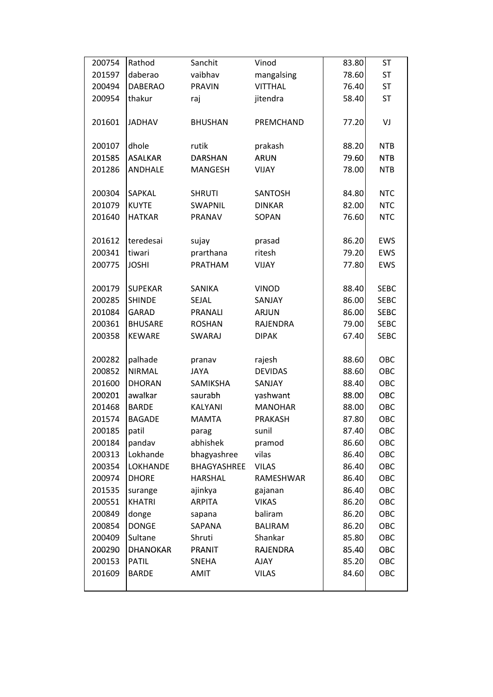| 200754 | Rathod          | Sanchit        | Vinod          | 83.80 | <b>ST</b>   |
|--------|-----------------|----------------|----------------|-------|-------------|
| 201597 | daberao         | vaibhav        | mangalsing     | 78.60 | <b>ST</b>   |
| 200494 | <b>DABERAO</b>  | <b>PRAVIN</b>  | <b>VITTHAL</b> | 76.40 | <b>ST</b>   |
| 200954 | thakur          | raj            | jitendra       | 58.40 | <b>ST</b>   |
|        |                 |                |                |       |             |
| 201601 | <b>JADHAV</b>   | <b>BHUSHAN</b> | PREMCHAND      | 77.20 | VJ          |
|        |                 |                |                |       |             |
| 200107 | dhole           | rutik          | prakash        | 88.20 | <b>NTB</b>  |
| 201585 | <b>ASALKAR</b>  | <b>DARSHAN</b> | <b>ARUN</b>    | 79.60 | <b>NTB</b>  |
| 201286 | <b>ANDHALE</b>  | <b>MANGESH</b> | <b>VIJAY</b>   | 78.00 | <b>NTB</b>  |
|        |                 |                |                |       |             |
| 200304 | SAPKAL          | <b>SHRUTI</b>  | SANTOSH        | 84.80 | <b>NTC</b>  |
| 201079 | <b>KUYTE</b>    | SWAPNIL        | <b>DINKAR</b>  | 82.00 | <b>NTC</b>  |
| 201640 | <b>HATKAR</b>   | PRANAV         | SOPAN          | 76.60 | <b>NTC</b>  |
|        |                 |                |                |       |             |
| 201612 | teredesai       | sujay          | prasad         | 86.20 | EWS         |
| 200341 | tiwari          | prarthana      | ritesh         | 79.20 | EWS         |
| 200775 | <b>JOSHI</b>    | PRATHAM        | VIJAY          | 77.80 | EWS         |
|        |                 |                |                |       |             |
| 200179 | <b>SUPEKAR</b>  | SANIKA         | <b>VINOD</b>   | 88.40 | <b>SEBC</b> |
| 200285 | <b>SHINDE</b>   | SEJAL          | SANJAY         | 86.00 | <b>SEBC</b> |
| 201084 | <b>GARAD</b>    | PRANALI        | <b>ARJUN</b>   | 86.00 | <b>SEBC</b> |
| 200361 | <b>BHUSARE</b>  | <b>ROSHAN</b>  | RAJENDRA       | 79.00 | <b>SEBC</b> |
| 200358 | <b>KEWARE</b>   | <b>SWARAJ</b>  | <b>DIPAK</b>   | 67.40 | <b>SEBC</b> |
|        |                 |                |                |       |             |
| 200282 | palhade         | pranav         | rajesh         | 88.60 | OBC         |
| 200852 | <b>NIRMAL</b>   | <b>JAYA</b>    | <b>DEVIDAS</b> | 88.60 | OBC         |
| 201600 | <b>DHORAN</b>   | SAMIKSHA       | SANJAY         | 88.40 | OBC         |
| 200201 | awalkar         | saurabh        | yashwant       | 88.00 | OBC         |
| 201468 | <b>BARDE</b>    | KALYANI        | <b>MANOHAR</b> | 88.00 | OBC         |
| 201574 | <b>BAGADE</b>   | <b>MAMTA</b>   | <b>PRAKASH</b> | 87.80 | OBC         |
| 200185 | patil           | parag          | sunil          | 87.40 | OBC         |
| 200184 | pandav          | abhishek       | pramod         | 86.60 | OBC         |
| 200313 | Lokhande        | bhagyashree    | vilas          | 86.40 | OBC         |
| 200354 | LOKHANDE        | BHAGYASHREE    | <b>VILAS</b>   | 86.40 | OBC         |
| 200974 | <b>DHORE</b>    | <b>HARSHAL</b> | RAMESHWAR      | 86.40 | OBC         |
| 201535 | surange         | ajinkya        | gajanan        | 86.40 | OBC         |
| 200551 | <b>KHATRI</b>   | <b>ARPITA</b>  | <b>VIKAS</b>   | 86.20 | OBC         |
| 200849 | donge           | sapana         | baliram        | 86.20 | OBC         |
| 200854 | <b>DONGE</b>    | SAPANA         | <b>BALIRAM</b> | 86.20 | OBC         |
| 200409 | Sultane         | Shruti         | Shankar        | 85.80 | OBC         |
| 200290 | <b>DHANOKAR</b> | PRANIT         | RAJENDRA       | 85.40 | OBC         |
| 200153 | <b>PATIL</b>    | SNEHA          | <b>AJAY</b>    | 85.20 | OBC         |
| 201609 | <b>BARDE</b>    | AMIT           | <b>VILAS</b>   | 84.60 | OBC         |
|        |                 |                |                |       |             |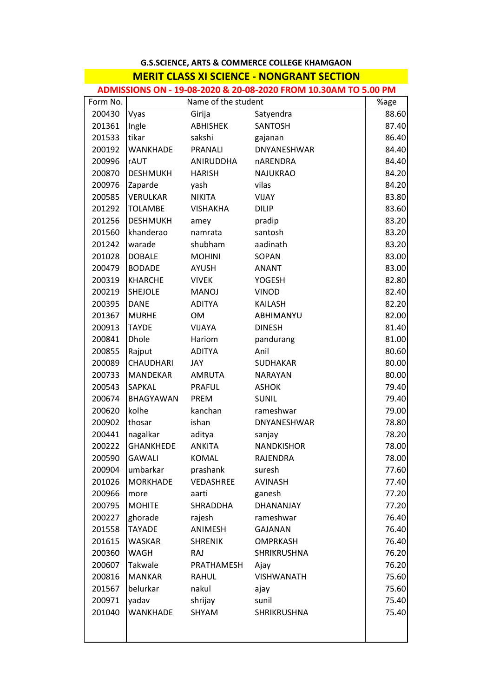## **G.S.SCIENCE, ARTS & COMMERCE COLLEGE KHAMGAON MERIT CLASS XI SCIENCE ‐ NONGRANT SECTION MERIT CLASS XI SCIENCE NONGRANT**

**ADMISSIONS ON ‐ 19‐08‐2020 & 20‐08‐2020 FROM 10.30AM TO 5.00 PM**

| Form No. | Name of the student |                 |                    | %age  |
|----------|---------------------|-----------------|--------------------|-------|
| 200430   | Vyas                | Girija          | Satyendra          | 88.60 |
| 201361   | Ingle               | <b>ABHISHEK</b> | SANTOSH            | 87.40 |
| 201533   | tikar               | sakshi          | gajanan            | 86.40 |
| 200192   | <b>WANKHADE</b>     | PRANALI         | DNYANESHWAR        | 84.40 |
| 200996   | <b>rAUT</b>         | ANIRUDDHA       | <b>nARENDRA</b>    | 84.40 |
| 200870   | <b>DESHMUKH</b>     | <b>HARISH</b>   | <b>NAJUKRAO</b>    | 84.20 |
| 200976   | Zaparde             | yash            | vilas              | 84.20 |
| 200585   | <b>VERULKAR</b>     | <b>NIKITA</b>   | VIJAY              | 83.80 |
| 201292   | <b>TOLAMBE</b>      | <b>VISHAKHA</b> | <b>DILIP</b>       | 83.60 |
| 201256   | <b>DESHMUKH</b>     | amey            | pradip             | 83.20 |
| 201560   | khanderao           | namrata         | santosh            | 83.20 |
| 201242   | warade              | shubham         | aadinath           | 83.20 |
| 201028   | <b>DOBALE</b>       | <b>MOHINI</b>   | SOPAN              | 83.00 |
| 200479   | <b>BODADE</b>       | <b>AYUSH</b>    | <b>ANANT</b>       | 83.00 |
| 200319   | <b>KHARCHE</b>      | <b>VIVEK</b>    | <b>YOGESH</b>      | 82.80 |
| 200219   | <b>SHEJOLE</b>      | <b>MANOJ</b>    | <b>VINOD</b>       | 82.40 |
| 200395   | <b>DANE</b>         | <b>ADITYA</b>   | <b>KAILASH</b>     | 82.20 |
| 201367   | <b>MURHE</b>        | OM              | ABHIMANYU          | 82.00 |
| 200913   | <b>TAYDE</b>        | VIJAYA          | <b>DINESH</b>      | 81.40 |
| 200841   | Dhole               | Hariom          | pandurang          | 81.00 |
| 200855   | Rajput              | <b>ADITYA</b>   | Anil               | 80.60 |
| 200089   | CHAUDHARI           | JAY             | <b>SUDHAKAR</b>    | 80.00 |
| 200733   | MANDEKAR            | <b>AMRUTA</b>   | <b>NARAYAN</b>     | 80.00 |
| 200543   | SAPKAL              | <b>PRAFUL</b>   | <b>ASHOK</b>       | 79.40 |
| 200674   | BHAGYAWAN           | <b>PREM</b>     | <b>SUNIL</b>       | 79.40 |
| 200620   | kolhe               | kanchan         | rameshwar          | 79.00 |
| 200902   | thosar              | ishan           | DNYANESHWAR        | 78.80 |
| 200441   | nagalkar            | aditya          | sanjay             | 78.20 |
| 200222   | <b>GHANKHEDE</b>    | <b>ANKITA</b>   | <b>NANDKISHOR</b>  | 78.00 |
| 200590   | <b>GAWALI</b>       | <b>KOMAL</b>    | RAJENDRA           | 78.00 |
| 200904   | umbarkar            | prashank        | suresh             | 77.60 |
| 201026   | <b>MORKHADE</b>     | VEDASHREE       | <b>AVINASH</b>     | 77.40 |
| 200966   | more                | aarti           | ganesh             | 77.20 |
| 200795   | <b>MOHITE</b>       | SHRADDHA        | DHANANJAY          | 77.20 |
| 200227   | ghorade             | rajesh          | rameshwar          | 76.40 |
| 201558   | <b>TAYADE</b>       | ANIMESH         | <b>GAJANAN</b>     | 76.40 |
| 201615   | <b>WASKAR</b>       | <b>SHRENIK</b>  | <b>OMPRKASH</b>    | 76.40 |
| 200360   | <b>WAGH</b>         | <b>RAJ</b>      | <b>SHRIKRUSHNA</b> | 76.20 |
| 200607   | Takwale             | PRATHAMESH      | Ajay               | 76.20 |
| 200816   | <b>MANKAR</b>       | <b>RAHUL</b>    | <b>VISHWANATH</b>  | 75.60 |
| 201567   | belurkar            | nakul           | ajay               | 75.60 |
| 200971   | yadav               | shrijay         | sunil              | 75.40 |
| 201040   | <b>WANKHADE</b>     | SHYAM           | SHRIKRUSHNA        | 75.40 |
|          |                     |                 |                    |       |
|          |                     |                 |                    |       |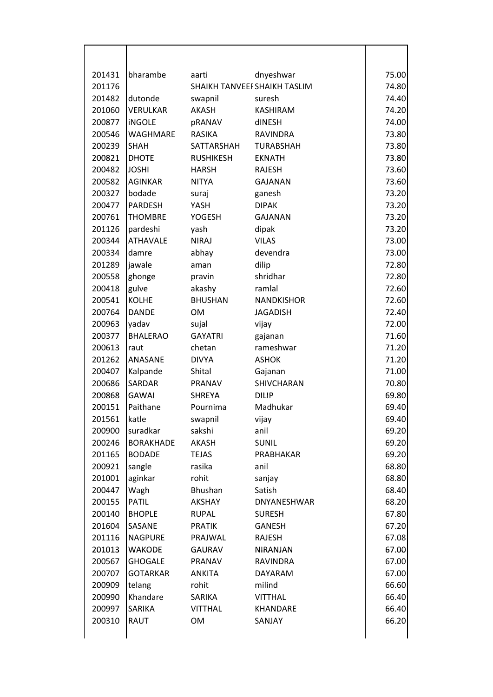| 201431<br>bharambe         | aarti            | dnyeshwar                    | 75.00 |
|----------------------------|------------------|------------------------------|-------|
| 201176                     |                  | SHAIKH TANVEEF SHAIKH TASLIM |       |
| 201482<br>dutonde          | swapnil          | suresh                       | 74.40 |
| 201060<br><b>VERULKAR</b>  | AKASH            | <b>KASHIRAM</b>              | 74.20 |
| 200877<br><b>iNGOLE</b>    | pRANAV           | dINESH                       | 74.00 |
| 200546<br>WAGHMARE         | RASIKA           | <b>RAVINDRA</b>              | 73.80 |
| 200239<br><b>SHAH</b>      | SATTARSHAH       | <b>TURABSHAH</b>             | 73.80 |
| 200821<br><b>DHOTE</b>     | <b>RUSHIKESH</b> | <b>EKNATH</b>                | 73.80 |
| <b>JOSHI</b><br>200482     | <b>HARSH</b>     | <b>RAJESH</b>                | 73.60 |
| 200582<br><b>AGINKAR</b>   | <b>NITYA</b>     | <b>GAJANAN</b>               | 73.60 |
| 200327<br>bodade           | suraj            | ganesh                       | 73.20 |
| PARDESH<br>200477          | YASH             | <b>DIPAK</b>                 | 73.20 |
| 200761<br><b>THOMBRE</b>   | <b>YOGESH</b>    | <b>GAJANAN</b>               | 73.20 |
| 201126<br>pardeshi         | yash             | dipak                        | 73.20 |
| <b>ATHAVALE</b><br>200344  | <b>NIRAJ</b>     | <b>VILAS</b>                 | 73.00 |
| 200334<br>damre            | abhay            | devendra                     | 73.00 |
| 201289<br>jawale           | aman             | dilip                        | 72.80 |
| 200558<br>ghonge           | pravin           | shridhar                     | 72.80 |
| 200418<br>gulve            | akashy           | ramlal                       | 72.60 |
| <b>KOLHE</b><br>200541     | <b>BHUSHAN</b>   | <b>NANDKISHOR</b>            | 72.60 |
| 200764<br><b>DANDE</b>     | <b>OM</b>        | <b>JAGADISH</b>              | 72.40 |
| 200963<br>yadav            | sujal            | vijay                        | 72.00 |
| 200377<br><b>BHALERAO</b>  | <b>GAYATRI</b>   | gajanan                      | 71.60 |
| 200613<br>raut             | chetan           | rameshwar                    | 71.20 |
| 201262<br>ANASANE          | <b>DIVYA</b>     | <b>ASHOK</b>                 | 71.20 |
| 200407<br>Kalpande         | Shital           | Gajanan                      | 71.00 |
| 200686<br>SARDAR           | <b>PRANAV</b>    | SHIVCHARAN                   | 70.80 |
| 200868<br><b>GAWAI</b>     | <b>SHREYA</b>    | <b>DILIP</b>                 | 69.80 |
| 200151<br>Paithane         | Pournima         | Madhukar                     | 69.40 |
| katle<br>201561            | swapnil          | vijay                        | 69.40 |
| 200900<br>suradkar         | sakshi           | anil                         | 69.20 |
| <b>BORAKHADE</b><br>200246 | AKASH            | <b>SUNIL</b>                 | 69.20 |
| 201165<br><b>BODADE</b>    | <b>TEJAS</b>     | PRABHAKAR                    | 69.20 |
| 200921<br>sangle           | rasika           | anil                         | 68.80 |
| 201001<br>aginkar          | rohit            | sanjay                       | 68.80 |
| Wagh<br>200447             | Bhushan          | Satish                       | 68.40 |
| <b>PATIL</b><br>200155     | AKSHAY           | <b>DNYANESHWAR</b>           | 68.20 |
| <b>BHOPLE</b><br>200140    | <b>RUPAL</b>     | <b>SURESH</b>                | 67.80 |
| 201604<br>SASANE           | <b>PRATIK</b>    | <b>GANESH</b>                | 67.20 |
| 201116<br><b>NAGPURE</b>   | PRAJWAL          | <b>RAJESH</b>                | 67.08 |
| <b>WAKODE</b><br>201013    | <b>GAURAV</b>    | <b>NIRANJAN</b>              | 67.00 |
| 200567<br><b>GHOGALE</b>   | PRANAV           | <b>RAVINDRA</b>              | 67.00 |
| <b>GOTARKAR</b><br>200707  | <b>ANKITA</b>    | DAYARAM                      | 67.00 |
| 200909<br>telang           | rohit            | milind                       | 66.60 |
| Khandare<br>200990         | SARIKA           | <b>VITTHAL</b>               | 66.40 |
| 200997<br>SARIKA           | <b>VITTHAL</b>   | KHANDARE                     | 66.40 |
| RAUT<br>200310             | <b>OM</b>        | SANJAY                       | 66.20 |
|                            |                  |                              |       |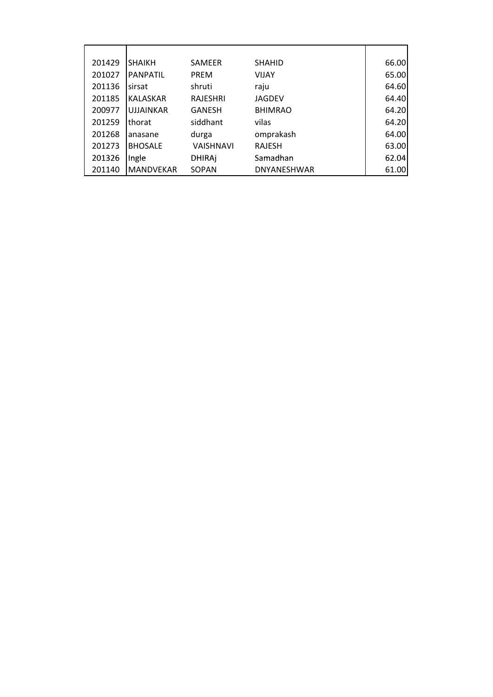| 201429 | <b>SHAIKH</b>    | <b>SAMEER</b>    | <b>SHAHID</b>  | 66.00 |
|--------|------------------|------------------|----------------|-------|
| 201027 | <b>PANPATIL</b>  | <b>PREM</b>      | <b>VIJAY</b>   | 65.00 |
| 201136 | sirsat           | shruti           | raju           | 64.60 |
| 201185 | <b>KALASKAR</b>  | <b>RAJESHRI</b>  | <b>JAGDEV</b>  | 64.40 |
| 200977 | <b>UJJAINKAR</b> | <b>GANESH</b>    | <b>BHIMRAO</b> | 64.20 |
| 201259 | thorat           | siddhant         | vilas          | 64.20 |
| 201268 | anasane          | durga            | omprakash      | 64.00 |
| 201273 | <b>BHOSALE</b>   | <b>VAISHNAVI</b> | <b>RAJESH</b>  | 63.00 |
| 201326 | Ingle            | <b>DHIRAj</b>    | Samadhan       | 62.04 |
| 201140 | <b>MANDVEKAR</b> | SOPAN            | DNYANESHWAR    | 61.00 |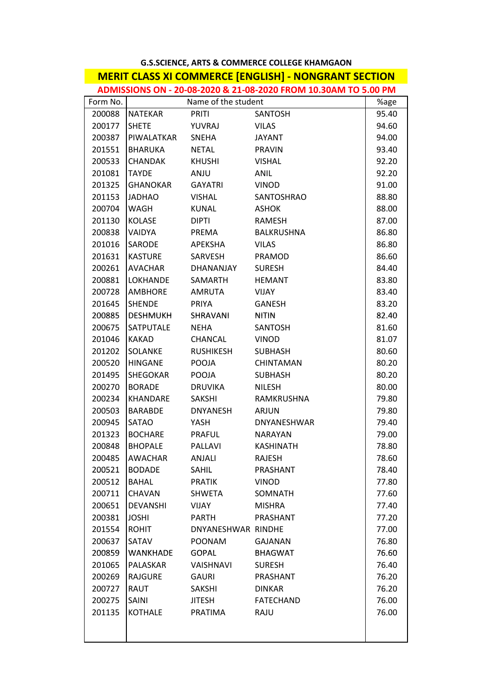| <b>G.S.SCIENCE, ARTS &amp; COMMERCE COLLEGE KHAMGAON</b>        |                   |                     |                   |       |  |
|-----------------------------------------------------------------|-------------------|---------------------|-------------------|-------|--|
| <b>MERIT CLASS XI COMMERCE [ENGLISH] - NONGRANT SECTION</b>     |                   |                     |                   |       |  |
| ADMISSIONS ON - 20-08-2020 & 21-08-2020 FROM 10.30AM TO 5.00 PM |                   |                     |                   |       |  |
| Form No.                                                        |                   | Name of the student |                   | %age  |  |
| 200088                                                          | <b>NATEKAR</b>    | <b>PRITI</b>        | SANTOSH           | 95.40 |  |
| 200177                                                          | <b>SHETE</b>      | YUVRAJ              | <b>VILAS</b>      | 94.60 |  |
| 200387                                                          | PIWALATKAR SNEHA  |                     | <b>JAYANT</b>     | 94.00 |  |
| 201551                                                          | <b>BHARUKA</b>    | NETAL               | <b>PRAVIN</b>     | 93.40 |  |
| 200533                                                          | <b>CHANDAK</b>    | <b>KHUSHI</b>       | <b>VISHAL</b>     | 92.20 |  |
| 201081                                                          | <b>TAYDE</b>      | <b>ANJU</b>         | <b>ANIL</b>       | 92.20 |  |
| 201325                                                          | GHANOKAR          | GAYATRI             | <b>VINOD</b>      | 91.00 |  |
| 201153                                                          | <b>JADHAO</b>     | VISHAL              | SANTOSHRAO        | 88.80 |  |
| 200704                                                          | WAGH              | <b>KUNAL</b>        | <b>ASHOK</b>      | 88.00 |  |
| 201130                                                          | <b>KOLASE</b>     | <b>DIPTI</b>        | <b>RAMESH</b>     | 87.00 |  |
| 200838                                                          | <b>VAIDYA</b>     | PREMA               | <b>BALKRUSHNA</b> | 86.80 |  |
| 201016                                                          | <b>SARODE</b>     | APEKSHA             | <b>VILAS</b>      | 86.80 |  |
| 201631                                                          | <b>KASTURE</b>    | SARVESH             | PRAMOD            | 86.60 |  |
| 200261                                                          | <b>AVACHAR</b>    | DHANANJAY           | <b>SURESH</b>     | 84.40 |  |
| 200881                                                          | LOKHANDE          | SAMARTH             | <b>HEMANT</b>     | 83.80 |  |
| 200728                                                          | <b>AMBHORE</b>    | <b>AMRUTA</b>       | <b>VIJAY</b>      | 83.40 |  |
| 201645                                                          | <b>SHENDE</b>     | PRIYA               | <b>GANESH</b>     | 83.20 |  |
| 200885                                                          | DESHMUKH SHRAVANI |                     | <b>NITIN</b>      | 82.40 |  |
| 200675                                                          | SATPUTALE         | NEHA                | SANTOSH           | 81.60 |  |
| 201046                                                          | <b>KAKAD</b>      | CHANCAL             | <b>VINOD</b>      | 81.07 |  |
| 201202                                                          | SOLANKE           | <b>RUSHIKESH</b>    | <b>SUBHASH</b>    | 80.60 |  |
| 200520                                                          | HINGANE           | <b>POOJA</b>        | CHINTAMAN         | 80.20 |  |
| 201495                                                          | SHEGOKAR          | POOJA               | <b>SUBHASH</b>    | 80.20 |  |
| 200270                                                          | <b>BORADE</b>     | DRUVIKA             | <b>NILESH</b>     | 80.00 |  |
| 200234                                                          | KHANDARE          | SAKSHI              | RAMKRUSHNA        | 79.80 |  |
| 200503                                                          | <b>BARABDE</b>    | DNYANESH            | <b>ARJUN</b>      | 79.80 |  |
| 200945                                                          | <b>SATAO</b>      | YASH                | DNYANESHWAR       | 79.40 |  |
| 201323                                                          | <b>BOCHARE</b>    | <b>PRAFUL</b>       | <b>NARAYAN</b>    | 79.00 |  |
| 200848                                                          | <b>BHOPALE</b>    | <b>PALLAVI</b>      | <b>KASHINATH</b>  | 78.80 |  |
| 200485                                                          | AWACHAR           | ANJALI              | <b>RAJESH</b>     | 78.60 |  |
| 200521                                                          | <b>BODADE</b>     | SAHIL               | PRASHANT          | 78.40 |  |
| 200512                                                          | <b>BAHAL</b>      | <b>PRATIK</b>       | <b>VINOD</b>      | 77.80 |  |
| 200711                                                          | <b>CHAVAN</b>     | <b>SHWETA</b>       | <b>SOMNATH</b>    | 77.60 |  |
| 200651                                                          | <b>DEVANSHI</b>   | <b>VIJAY</b>        | <b>MISHRA</b>     | 77.40 |  |
| 200381                                                          | <b>JOSHI</b>      | PARTH               | PRASHANT          | 77.20 |  |
| 201554                                                          | <b>ROHIT</b>      | DNYANESHWAR RINDHE  |                   | 77.00 |  |
| 200637                                                          | SATAV             | <b>POONAM</b>       | <b>GAJANAN</b>    | 76.80 |  |
| 200859                                                          | <b>WANKHADE</b>   | <b>GOPAL</b>        | <b>BHAGWAT</b>    | 76.60 |  |
| 201065                                                          | PALASKAR          | <b>VAISHNAVI</b>    | <b>SURESH</b>     | 76.40 |  |
| 200269                                                          | RAJGURE           | GAURI               | PRASHANT          | 76.20 |  |
| 200727                                                          | RAUT              | SAKSHI              | <b>DINKAR</b>     | 76.20 |  |
| 200275                                                          | SAINI             | <b>JITESH</b>       | <b>FATECHAND</b>  | 76.00 |  |
| 201135                                                          | <b>KOTHALE</b>    | PRATIMA             | RAJU              | 76.00 |  |
|                                                                 |                   |                     |                   |       |  |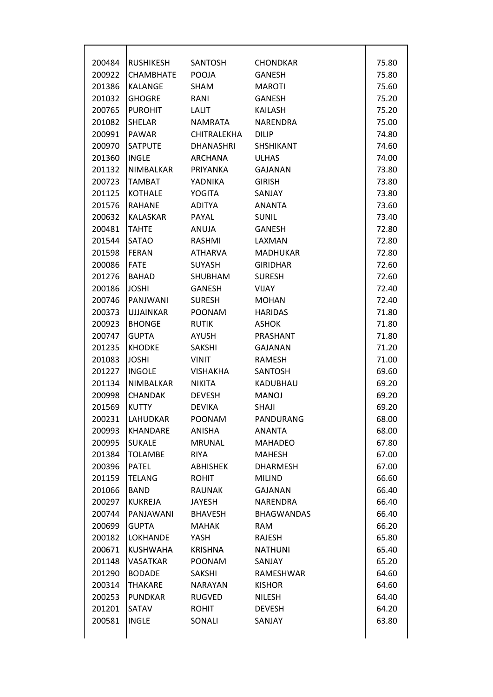| 200484 | <b>RUSHIKESH</b> | SANTOSH          | <b>CHONDKAR</b>   | 75.80 |
|--------|------------------|------------------|-------------------|-------|
| 200922 | <b>CHAMBHATE</b> | POOJA            | <b>GANESH</b>     | 75.80 |
| 201386 | <b>KALANGE</b>   | SHAM             | <b>MAROTI</b>     | 75.60 |
| 201032 | <b>GHOGRE</b>    | RANI             | <b>GANESH</b>     | 75.20 |
| 200765 | <b>PUROHIT</b>   | LALIT            | <b>KAILASH</b>    | 75.20 |
| 201082 | <b>SHELAR</b>    | <b>NAMRATA</b>   | NARENDRA          | 75.00 |
| 200991 | PAWAR            | CHITRALEKHA      | <b>DILIP</b>      | 74.80 |
| 200970 | SATPUTE          | <b>DHANASHRI</b> | <b>SHSHIKANT</b>  | 74.60 |
| 201360 | <b>INGLE</b>     | ARCHANA          | <b>ULHAS</b>      | 74.00 |
| 201132 | NIMBALKAR        | PRIYANKA         | <b>GAJANAN</b>    | 73.80 |
| 200723 | <b>TAMBAT</b>    | YADNIKA          | <b>GIRISH</b>     | 73.80 |
| 201125 | <b>KOTHALE</b>   | <b>YOGITA</b>    | SANJAY            | 73.80 |
| 201576 | <b>RAHANE</b>    | ADITYA           | ANANTA            | 73.60 |
| 200632 | <b>KALASKAR</b>  | PAYAL            | <b>SUNIL</b>      | 73.40 |
| 200481 | <b>TAHTE</b>     | ANUJA            | <b>GANESH</b>     | 72.80 |
| 201544 | <b>SATAO</b>     | RASHMI           | LAXMAN            | 72.80 |
| 201598 | <b>FERAN</b>     | ATHARVA          | MADHUKAR          | 72.80 |
| 200086 | <b>FATE</b>      | <b>SUYASH</b>    | <b>GIRIDHAR</b>   | 72.60 |
| 201276 | <b>BAHAD</b>     | <b>SHUBHAM</b>   | <b>SURESH</b>     | 72.60 |
| 200186 | <b>JOSHI</b>     | <b>GANESH</b>    | <b>VIJAY</b>      | 72.40 |
| 200746 | PANJWANI         | <b>SURESH</b>    | <b>MOHAN</b>      | 72.40 |
| 200373 | <b>UJJAINKAR</b> | POONAM           | <b>HARIDAS</b>    | 71.80 |
| 200923 | <b>BHONGE</b>    | <b>RUTIK</b>     | <b>ASHOK</b>      | 71.80 |
| 200747 | <b>GUPTA</b>     | AYUSH            | PRASHANT          | 71.80 |
| 201235 | <b>KHODKE</b>    | SAKSHI           | <b>GAJANAN</b>    | 71.20 |
| 201083 | <b>JOSHI</b>     | <b>VINIT</b>     | <b>RAMESH</b>     | 71.00 |
| 201227 | <b>INGOLE</b>    | <b>VISHAKHA</b>  | <b>SANTOSH</b>    | 69.60 |
| 201134 | NIMBALKAR        | NIKITA           | KADUBHAU          | 69.20 |
| 200998 | <b>CHANDAK</b>   | <b>DEVESH</b>    | <b>MANOJ</b>      | 69.20 |
| 201569 | <b>KUTTY</b>     | <b>DEVIKA</b>    | <b>SHAJI</b>      | 69.20 |
| 200231 | LAHUDKAR         | POONAM           | PANDURANG         | 68.00 |
| 200993 | <b>KHANDARE</b>  | <b>ANISHA</b>    | <b>ANANTA</b>     | 68.00 |
| 200995 | <b>SUKALE</b>    | <b>MRUNAL</b>    | <b>MAHADEO</b>    | 67.80 |
| 201384 | <b>TOLAMBE</b>   | <b>RIYA</b>      | <b>MAHESH</b>     | 67.00 |
| 200396 | <b>PATEL</b>     | <b>ABHISHEK</b>  | <b>DHARMESH</b>   | 67.00 |
| 201159 | <b>TELANG</b>    | <b>ROHIT</b>     | <b>MILIND</b>     | 66.60 |
| 201066 | <b>BAND</b>      | <b>RAUNAK</b>    | <b>GAJANAN</b>    | 66.40 |
| 200297 | <b>KUKREJA</b>   | JAYESH           | NARENDRA          | 66.40 |
| 200744 | PANJAWANI        | <b>BHAVESH</b>   | <b>BHAGWANDAS</b> | 66.40 |
| 200699 | <b>GUPTA</b>     | <b>MAHAK</b>     | RAM               | 66.20 |
| 200182 | <b>LOKHANDE</b>  | YASH             | RAJESH            | 65.80 |
| 200671 | <b>KUSHWAHA</b>  | <b>KRISHNA</b>   | <b>NATHUNI</b>    | 65.40 |
| 201148 | <b>VASATKAR</b>  | <b>POONAM</b>    | SANJAY            | 65.20 |
| 201290 | <b>BODADE</b>    | SAKSHI           | RAMESHWAR         | 64.60 |
| 200314 | THAKARE          | <b>NARAYAN</b>   | <b>KISHOR</b>     | 64.60 |
| 200253 | <b>PUNDKAR</b>   | <b>RUGVED</b>    | <b>NILESH</b>     | 64.40 |
| 201201 | SATAV            | <b>ROHIT</b>     | <b>DEVESH</b>     | 64.20 |
| 200581 | <b>INGLE</b>     | SONALI           | SANJAY            | 63.80 |
|        |                  |                  |                   |       |
|        |                  |                  |                   |       |